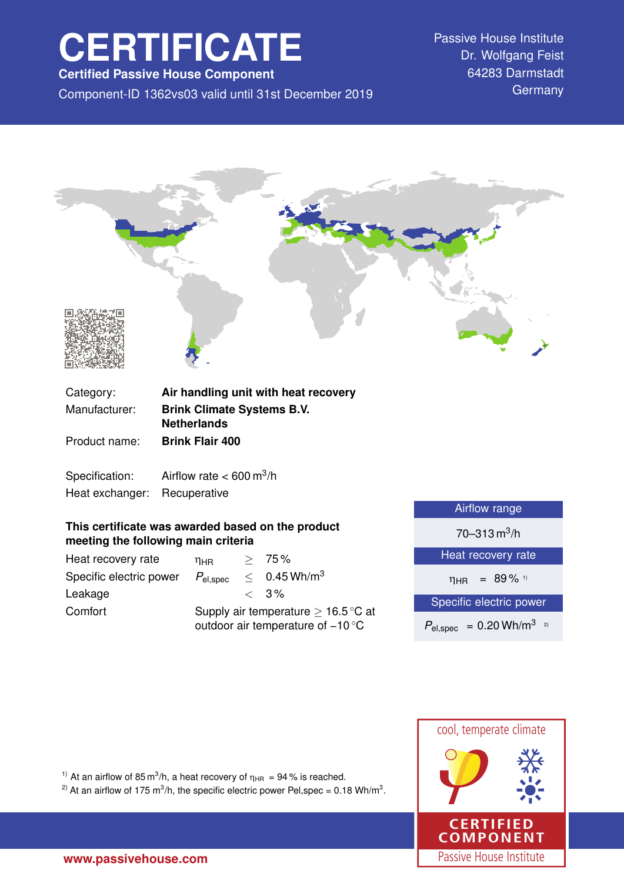# **CERTIFICATE**

**Certified Passive House Component**

Component-ID 1362vs03 valid until 31st December 2019 Germany

Passive House Institute Dr. Wolfgang Feist 64283 Darmstadt



Specification: Airflow rate  $< 600 \text{ m}^3/\text{h}$ Heat exchanger: Recuperative

## **This certificate was awarded based on the product meeting the following main criteria**

| Heat recovery rate      | ηнв                                                                                           |  | > 75%                      |
|-------------------------|-----------------------------------------------------------------------------------------------|--|----------------------------|
| Specific electric power | $P_{\mathsf{el,spec}}$                                                                        |  | $< 0.45$ Wh/m <sup>3</sup> |
| Leakage                 |                                                                                               |  | $\langle 3\%$              |
| Comfort                 | Supply air temperature $\geq 16.5^{\circ}$ C at<br>outdoor air temperature of $-10^{\circ}$ C |  |                            |

| Airflow range                                    |  |  |
|--------------------------------------------------|--|--|
| $70 - 313$ m <sup>3</sup> /h                     |  |  |
| Heat recovery rate                               |  |  |
| $\eta_{HR}$ = 89% 1)                             |  |  |
| Specific electric power                          |  |  |
| $P_{\text{el,spec}} = 0.20 \text{ Wh/m}^3$<br>2) |  |  |
|                                                  |  |  |



<sup>1)</sup> At an airflow of 85 m<sup>3</sup>/h, a heat recovery of  $\eta_{HR} = 94$  % is reached.

<sup>2)</sup> At an airflow of 175 m<sup>3</sup>/h, the specific electric power Pel,spec = 0.18 Wh/m<sup>3</sup>.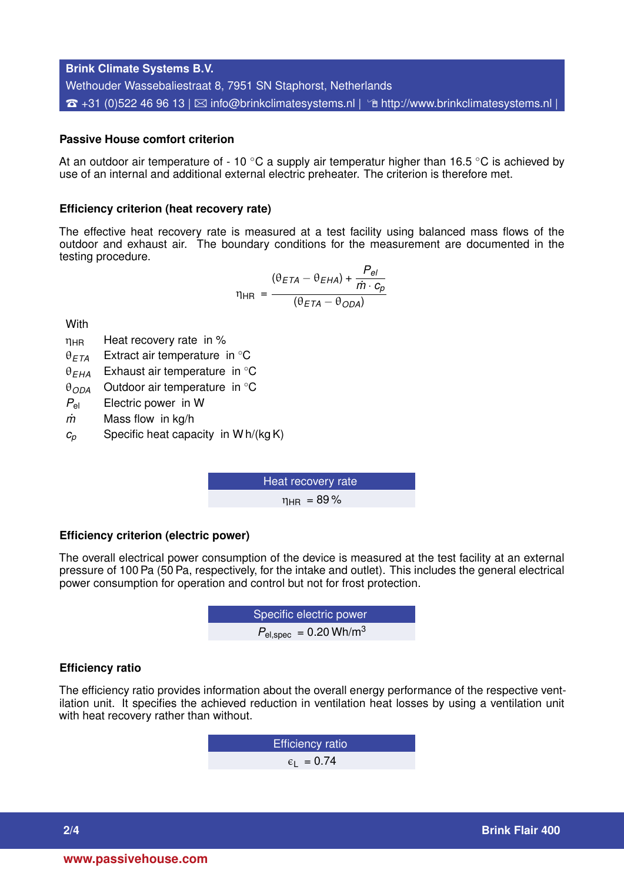**Brink Climate Systems B.V.** Wethouder Wassebaliestraat 8, 7951 SN Staphorst, Netherlands  $\hat{\sigma}$  +31 (0)522 46 96 13 |  $\boxtimes$  [info@brinkclimatesystems.nl](mailto:info@brinkclimatesystems.nl) |  $\hat{\sigma}$  <http://www.brinkclimatesystems.nl> |

## **Passive House comfort criterion**

At an outdoor air temperature of - 10  $\degree$ C a supply air temperatur higher than 16.5  $\degree$ C is achieved by use of an internal and additional external electric preheater. The criterion is therefore met.

#### **Efficiency criterion (heat recovery rate)**

The effective heat recovery rate is measured at a test facility using balanced mass flows of the outdoor and exhaust air. The boundary conditions for the measurement are documented in the testing procedure.

$$
\eta_{HR} = \frac{(\theta_{ETA} - \theta_{EHA}) + \frac{P_{el}}{\dot{m} \cdot c_p}}{(\theta_{ETA} - \theta_{ODA})}
$$

**With** 

- $\eta_{HR}$  Heat recovery rate in %
- θ*ETA* Extract air temperature in ◦C
- θ*EHA* Exhaust air temperature in ◦C
- θ*ODA* Outdoor air temperature in ◦C
- *P*el Electric power in W
- *m˙* Mass flow in kg/h
- $c_p$  Specific heat capacity in W h/(kg K)

Heat recovery rate  $n_{\text{HR}} = 89\%$ 

#### **Efficiency criterion (electric power)**

The overall electrical power consumption of the device is measured at the test facility at an external pressure of 100 Pa (50 Pa, respectively, for the intake and outlet). This includes the general electrical power consumption for operation and control but not for frost protection.

**EXECUTE:** Specific electric power  

$$
P_{\text{el,spec}} = 0.20 \text{ Wh/m}^3
$$

#### **Efficiency ratio**

The efficiency ratio provides information about the overall energy performance of the respective ventilation unit. It specifies the achieved reduction in ventilation heat losses by using a ventilation unit with heat recovery rather than without.

> Efficiency ratio  $\epsilon_1$  = 0.74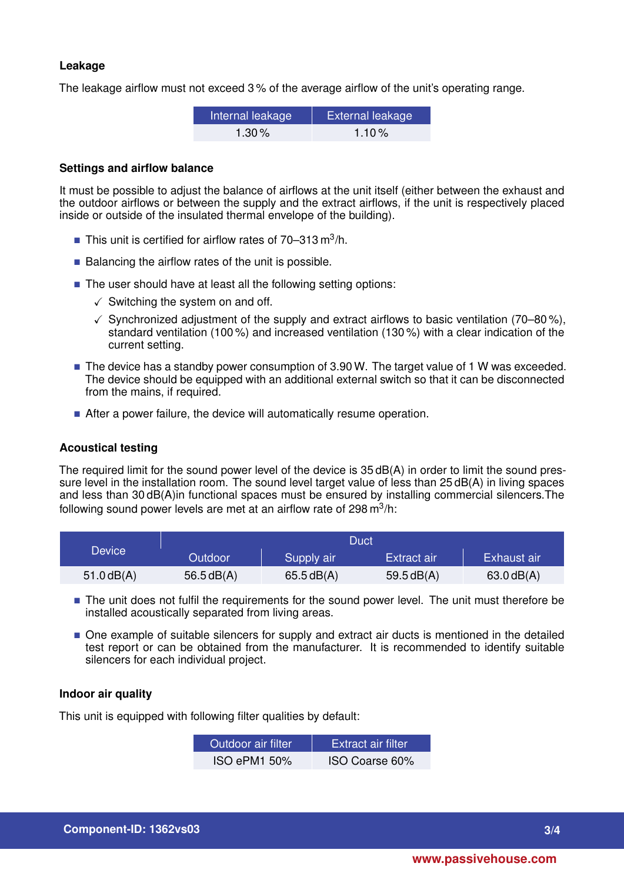## **Leakage**

The leakage airflow must not exceed 3 % of the average airflow of the unit's operating range.

| Internal leakage | External leakage |
|------------------|------------------|
| 1.30 $%$         | $1.10\%$         |

### **Settings and airflow balance**

It must be possible to adjust the balance of airflows at the unit itself (either between the exhaust and the outdoor airflows or between the supply and the extract airflows, if the unit is respectively placed inside or outside of the insulated thermal envelope of the building).

- This unit is certified for airflow rates of  $70-313 \text{ m}^3/\text{h}$ .
- $\blacksquare$  Balancing the airflow rates of the unit is possible.
- The user should have at least all the following setting options:
	- $\checkmark$  Switching the system on and off.
	- $\checkmark$  Synchronized adjustment of the supply and extract airflows to basic ventilation (70–80%), standard ventilation (100 %) and increased ventilation (130 %) with a clear indication of the current setting.
- The device has a standby power consumption of 3.90 W. The target value of 1 W was exceeded. The device should be equipped with an additional external switch so that it can be disconnected from the mains, if required.
- After a power failure, the device will automatically resume operation.

## **Acoustical testing**

The required limit for the sound power level of the device is 35 dB(A) in order to limit the sound pressure level in the installation room. The sound level target value of less than 25 dB(A) in living spaces and less than 30 dB(A)in functional spaces must be ensured by installing commercial silencers.The following sound power levels are met at an airflow rate of 298 m $^3$ /h:

|               | Duct         |            |              |                        |
|---------------|--------------|------------|--------------|------------------------|
| <b>Device</b> | Outdoor      | Supply air | Extract air  | Exhaust air            |
| $51.0$ dB(A)  | 56.5 $dB(A)$ | 65.5dB(A)  | 59.5 $dB(A)$ | $63.0 \, \text{dB}(A)$ |

- The unit does not fulfil the requirements for the sound power level. The unit must therefore be installed acoustically separated from living areas.
- $\blacksquare$  One example of suitable silencers for supply and extract air ducts is mentioned in the detailed test report or can be obtained from the manufacturer. It is recommended to identify suitable silencers for each individual project.

### **Indoor air quality**

This unit is equipped with following filter qualities by default:

| Outdoor air filter. | <b>Extract air filter</b> |
|---------------------|---------------------------|
| <b>ISO ePM1 50%</b> | ISO Coarse 60%            |